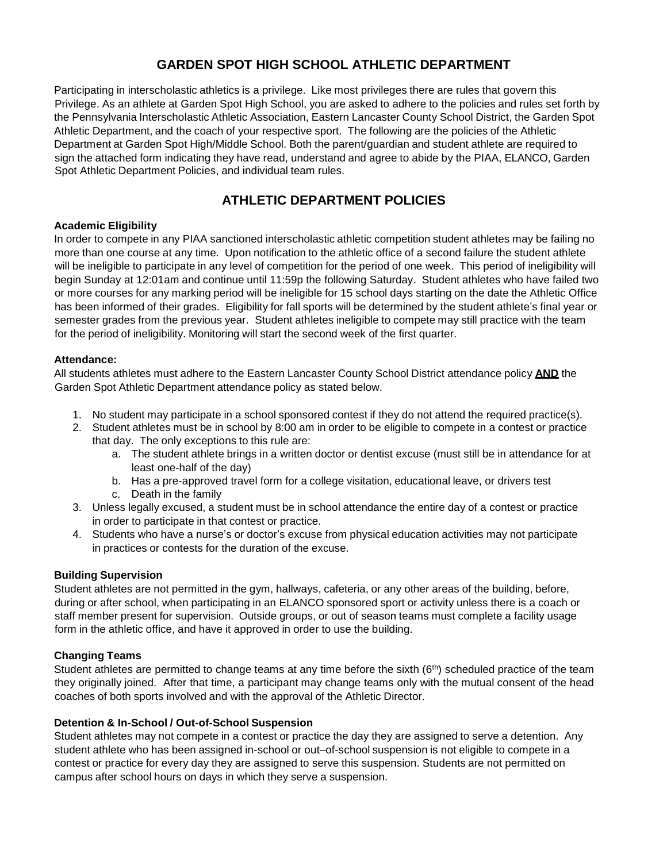# **GARDEN SPOT HIGH SCHOOL ATHLETIC DEPARTMENT**

Participating in interscholastic athletics is a privilege. Like most privileges there are rules that govern this Privilege. As an athlete at Garden Spot High School, you are asked to adhere to the policies and rules set forth by the Pennsylvania Interscholastic Athletic Association, Eastern Lancaster County School District, the Garden Spot Athletic Department, and the coach of your respective sport. The following are the policies of the Athletic Department at Garden Spot High/Middle School. Both the parent/guardian and student athlete are required to sign the attached form indicating they have read, understand and agree to abide by the PIAA, ELANCO, Garden Spot Athletic Department Policies, and individual team rules.

# **ATHLETIC DEPARTMENT POLICIES**

# **Academic Eligibility**

In order to compete in any PIAA sanctioned interscholastic athletic competition student athletes may be failing no more than one course at any time. Upon notification to the athletic office of a second failure the student athlete will be ineligible to participate in any level of competition for the period of one week. This period of ineligibility will begin Sunday at 12:01am and continue until 11:59p the following Saturday. Student athletes who have failed two or more courses for any marking period will be ineligible for 15 school days starting on the date the Athletic Office has been informed of their grades. Eligibility for fall sports will be determined by the student athlete's final year or semester grades from the previous year. Student athletes ineligible to compete may still practice with the team for the period of ineligibility. Monitoring will start the second week of the first quarter.

## **Attendance:**

All students athletes must adhere to the Eastern Lancaster County School District attendance policy **AND** the Garden Spot Athletic Department attendance policy as stated below.

- 1. No student may participate in a school sponsored contest if they do not attend the required practice(s).
- 2. Student athletes must be in school by 8:00 am in order to be eligible to compete in a contest or practice that day. The only exceptions to this rule are:
	- a. The student athlete brings in a written doctor or dentist excuse (must still be in attendance for at least one-half of the day)
	- b. Has a pre-approved travel form for a college visitation, educational leave, or drivers test
	- c. Death in the family
- 3. Unless legally excused, a student must be in school attendance the entire day of a contest or practice in order to participate in that contest or practice.
- 4. Students who have a nurse's or doctor's excuse from physical education activities may not participate in practices or contests for the duration of the excuse.

# **Building Supervision**

Student athletes are not permitted in the gym, hallways, cafeteria, or any other areas of the building, before, during or after school, when participating in an ELANCO sponsored sport or activity unless there is a coach or staff member present for supervision. Outside groups, or out of season teams must complete a facility usage form in the athletic office, and have it approved in order to use the building.

# **Changing Teams**

Student athletes are permitted to change teams at any time before the sixth (6<sup>th</sup>) scheduled practice of the team they originally joined. After that time, a participant may change teams only with the mutual consent of the head coaches of both sports involved and with the approval of the Athletic Director.

# **Detention & In-School / Out-of-School Suspension**

Student athletes may not compete in a contest or practice the day they are assigned to serve a detention. Any student athlete who has been assigned in-school or out–of-school suspension is not eligible to compete in a contest or practice for every day they are assigned to serve this suspension. Students are not permitted on campus after school hours on days in which they serve a suspension.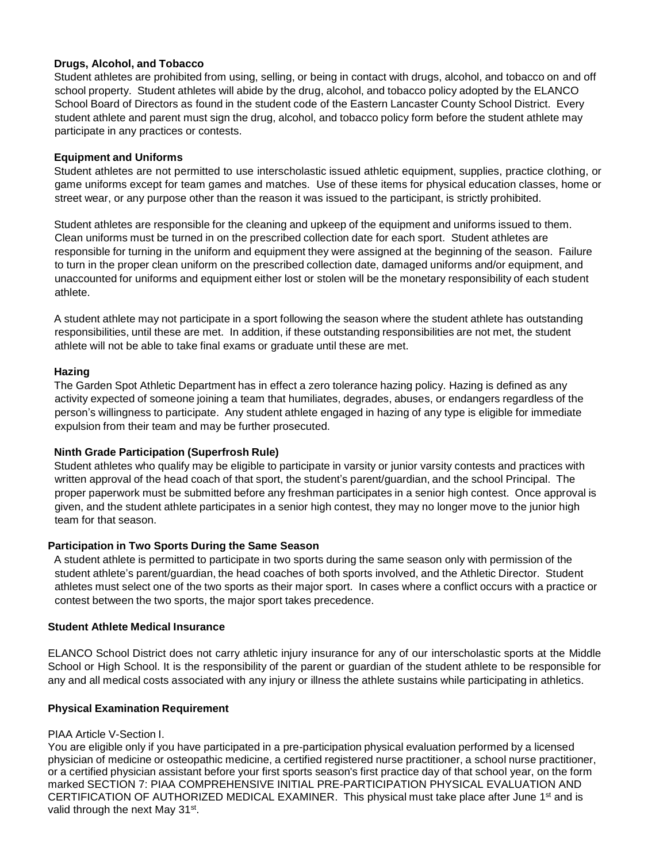## **Drugs, Alcohol, and Tobacco**

Student athletes are prohibited from using, selling, or being in contact with drugs, alcohol, and tobacco on and off school property. Student athletes will abide by the drug, alcohol, and tobacco policy adopted by the ELANCO School Board of Directors as found in the student code of the Eastern Lancaster County School District. Every student athlete and parent must sign the drug, alcohol, and tobacco policy form before the student athlete may participate in any practices or contests.

## **Equipment and Uniforms**

Student athletes are not permitted to use interscholastic issued athletic equipment, supplies, practice clothing, or game uniforms except for team games and matches. Use of these items for physical education classes, home or street wear, or any purpose other than the reason it was issued to the participant, is strictly prohibited.

Student athletes are responsible for the cleaning and upkeep of the equipment and uniforms issued to them. Clean uniforms must be turned in on the prescribed collection date for each sport. Student athletes are responsible for turning in the uniform and equipment they were assigned at the beginning of the season. Failure to turn in the proper clean uniform on the prescribed collection date, damaged uniforms and/or equipment, and unaccounted for uniforms and equipment either lost or stolen will be the monetary responsibility of each student athlete.

A student athlete may not participate in a sport following the season where the student athlete has outstanding responsibilities, until these are met. In addition, if these outstanding responsibilities are not met, the student athlete will not be able to take final exams or graduate until these are met.

## **Hazing**

The Garden Spot Athletic Department has in effect a zero tolerance hazing policy. Hazing is defined as any activity expected of someone joining a team that humiliates, degrades, abuses, or endangers regardless of the person's willingness to participate. Any student athlete engaged in hazing of any type is eligible for immediate expulsion from their team and may be further prosecuted.

# **Ninth Grade Participation (Superfrosh Rule)**

Student athletes who qualify may be eligible to participate in varsity or junior varsity contests and practices with written approval of the head coach of that sport, the student's parent/guardian, and the school Principal. The proper paperwork must be submitted before any freshman participates in a senior high contest. Once approval is given, and the student athlete participates in a senior high contest, they may no longer move to the junior high team for that season.

# **Participation in Two Sports During the Same Season**

A student athlete is permitted to participate in two sports during the same season only with permission of the student athlete's parent/guardian, the head coaches of both sports involved, and the Athletic Director. Student athletes must select one of the two sports as their major sport. In cases where a conflict occurs with a practice or contest between the two sports, the major sport takes precedence.

#### **Student Athlete Medical Insurance**

ELANCO School District does not carry athletic injury insurance for any of our interscholastic sports at the Middle School or High School. It is the responsibility of the parent or guardian of the student athlete to be responsible for any and all medical costs associated with any injury or illness the athlete sustains while participating in athletics.

#### **Physical Examination Requirement**

# PIAA Article V-Section I.

You are eligible only if you have participated in a pre-participation physical evaluation performed by a licensed physician of medicine or osteopathic medicine, a certified registered nurse practitioner, a school nurse practitioner, or a certified physician assistant before your first sports season's first practice day of that school year, on the form marked SECTION 7: PIAA COMPREHENSIVE INITIAL PRE-PARTICIPATION PHYSICAL EVALUATION AND CERTIFICATION OF AUTHORIZED MEDICAL EXAMINER. This physical must take place after June 1st and is valid through the next May 31<sup>st</sup>.